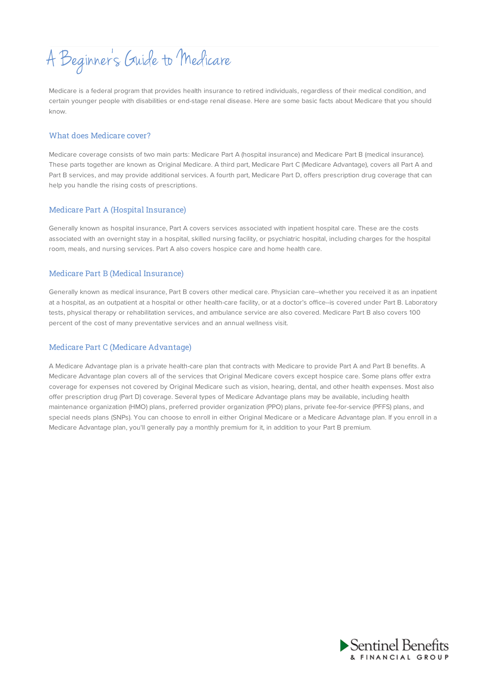A Beginner s Guide to Medicare

Medicare is a federal program that provides health insurance to retired individuals, regardless of their medical condition, and certain younger people with disabilities or end-stage renal disease. Here are some basic facts about Medicare that you should know.

#### What does Medicare cover?

Medicare coverage consists of two main parts: Medicare Part A (hospital insurance) and Medicare Part B (medical insurance). These parts together are known as Original Medicare. A third part, Medicare Part C (Medicare Advantage), covers all Part A and Part B services, and may provide additional services. A fourth part, Medicare Part D, offers prescription drug coverage that can help you handle the rising costs of prescriptions.

### Medicare Part A (Hospital Insurance)

Generally known as hospital insurance, Part A covers services associated with inpatient hospital care. These are the costs associated with an overnight stay in a hospital, skilled nursing facility, or psychiatric hospital, including charges for the hospital room, meals, and nursing services. Part A also covers hospice care and home health care.

### Medicare Part B (Medical Insurance)

Generally known as medical insurance, Part B covers other medical care. Physician care--whether you received it as an inpatient at a hospital, as an outpatient at a hospital or other health-care facility, or at a doctor's office--is covered under Part B. Laboratory tests, physical therapy or rehabilitation services, and ambulance service are also covered. Medicare Part B also covers 100 percent of the cost of many preventative services and an annual wellness visit.

#### Medicare Part C (Medicare Advantage)

A Medicare Advantage plan is a private health-care plan that contracts with Medicare to provide Part A and Part B benefits. A Medicare Advantage plan covers all of the services that Original Medicare covers except hospice care. Some plans offer extra coverage for expenses not covered by Original Medicare such as vision, hearing, dental, and other health expenses. Most also offer prescription drug (Part D) coverage. Several types of Medicare Advantage plans may be available, including health maintenance organization (HMO) plans, preferred provider organization (PPO) plans, private fee-for-service (PFFS) plans, and special needs plans (SNPs). You can choose to enroll in either Original Medicare or a Medicare Advantage plan. If you enroll in a Medicare Advantage plan, you'll generally pay a monthly premium for it, in addition to your Part B premium.

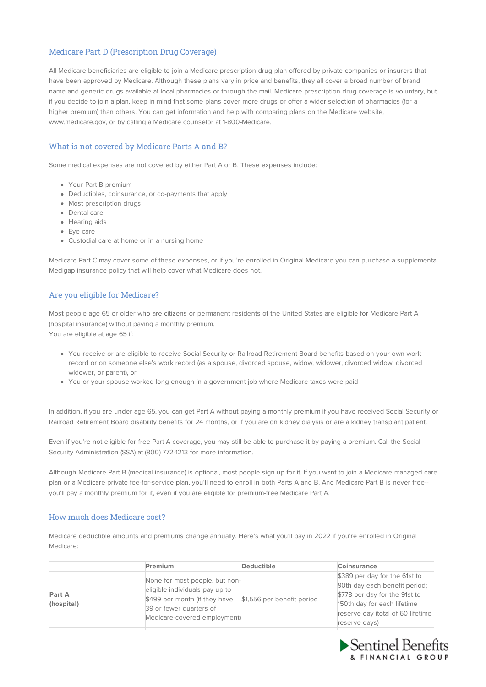# Medicare Part D (Prescription Drug Coverage)

All Medicare beneficiaries are eligible to join a Medicare prescription drug plan offered by private companies or insurers that have been approved by Medicare. Although these plans vary in price and benefits, they all cover a broad number of brand name and generic drugs available at local pharmacies or through the mail. Medicare prescription drug coverage is voluntary, but if you decide to join a plan, keep in mind that some plans cover more drugs or offer a wider selection of pharmacies (for a higher premium) than others. You can get information and help with comparing plans on the Medicare website, www.medicare.gov, or by calling a Medicare counselor at 1-800-Medicare.

# What is not covered by Medicare Parts A and B?

Some medical expenses are not covered by either Part A or B. These expenses include:

- Your Part B premium
- Deductibles, coinsurance, or co-payments that apply
- Most prescription drugs
- Dental care
- Hearing aids
- Eye care
- Custodial care at home or in a nursing home

Medicare Part C may cover some of these expenses, or if you're enrolled in Original Medicare you can purchase a supplemental Medigap insurance policy that will help cover what Medicare does not.

# Are you eligible for Medicare?

Most people age 65 or older who are citizens or permanent residents of the United States are eligible for Medicare Part A (hospital insurance) without paying a monthly premium.

You are eligible at age 65 if:

- You receive or are eligible to receive Social Security or Railroad Retirement Board benefits based on your own work record or on someone else's work record (as a spouse, divorced spouse, widow, widower, divorced widow, divorced widower, or parent), or
- You or your spouse worked long enough in a government job where Medicare taxes were paid

In addition, if you are under age 65, you can get Part A without paying a monthly premium if you have received Social Security or Railroad Retirement Board disability benefits for 24 months, or if you are on kidney dialysis or are a kidney transplant patient.

Even if you're not eligible for free Part A coverage, you may still be able to purchase it by paying a premium. Call the Social Security Administration (SSA) at (800) 772-1213 for more information.

Although Medicare Part B (medical insurance) is optional, most people sign up for it. If you want to join a Medicare managed care plan or a Medicare private fee-for-service plan, you'll need to enroll in both Parts A and B. And Medicare Part B is never free- you'll pay a monthly premium for it, even if you are eligible for premium-free Medicare Part A.

# How much does Medicare cost?

Medicare deductible amounts and premiums change annually. Here's what you'll pay in 2022 if you're enrolled in Original Medicare:

|                      | Premium                                                                                                                                                      | <b>Deductible</b>          | Coinsurance                                                                                                                                                                          |
|----------------------|--------------------------------------------------------------------------------------------------------------------------------------------------------------|----------------------------|--------------------------------------------------------------------------------------------------------------------------------------------------------------------------------------|
| Part A<br>(hospital) | None for most people, but non-<br>eligible individuals pay up to<br>\$499 per month (if they have<br>39 or fewer quarters of<br>Medicare-covered employment) | \$1,556 per benefit period | \$389 per day for the 61st to<br>90th day each benefit period;<br>\$778 per day for the 91st to<br>150th day for each lifetime<br>reserve day (total of 60 lifetime<br>reserve days) |

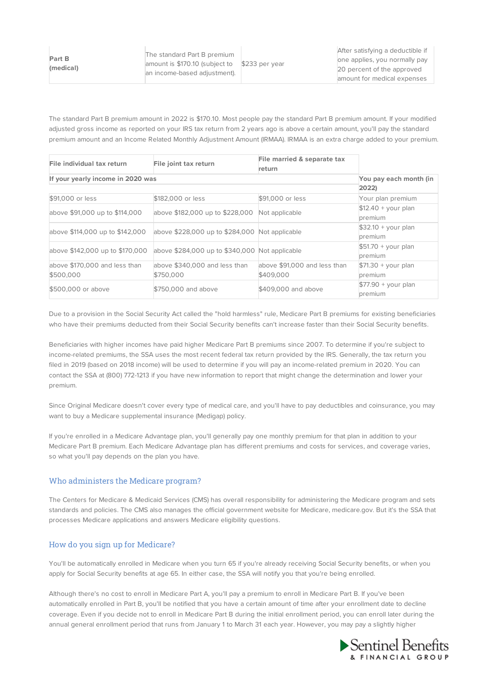After satisfying a deductible if one applies, you normally pay 20 percent of the approved amount for medical expenses

The standard Part B premium amount in 2022 is \$170.10. Most people pay the standard Part B premium amount. If your modified adjusted gross income as reported on your IRS tax return from 2 years ago is above a certain amount, you'll pay the standard premium amount and an Income Related Monthly Adjustment Amount (IRMAA). IRMAA is an extra charge added to your premium.

| File individual tax return        | File joint tax return                          | File married & separate tax  |                      |
|-----------------------------------|------------------------------------------------|------------------------------|----------------------|
|                                   |                                                | return                       |                      |
| If your yearly income in 2020 was | You pay each month (in                         |                              |                      |
|                                   | 2022                                           |                              |                      |
| \$91,000 or less                  | \$182,000 or less                              | \$91,000 or less             | Your plan premium    |
| above \$91,000 up to \$114,000    | above \$182,000 up to \$228,000                | Not applicable               | $$12.40 + your plan$ |
|                                   |                                                |                              | premium              |
| above \$114,000 up to \$142,000   | above \$228,000 up to \$284,000 Not applicable |                              | $$32.10 + your plan$ |
|                                   |                                                |                              | premium              |
| above \$142,000 up to \$170,000   | above \$284,000 up to \$340,000 Not applicable |                              | $$51.70 + your plan$ |
|                                   |                                                |                              | premium              |
| above \$170,000 and less than     | above \$340,000 and less than                  | above \$91,000 and less than | $$71.30 + your plan$ |
| \$500,000                         | \$750,000                                      | \$409,000                    | premium              |
| \$500,000 or above                | \$750,000 and above                            | \$409,000 and above          | $$77.90 + your plan$ |
|                                   |                                                |                              | premium              |

Due to a provision in the Social Security Act called the "hold harmless" rule, Medicare Part B premiums for existing beneficiaries who have their premiums deducted from their Social Security benefits can't increase faster than their Social Security benefits.

Beneficiaries with higher incomes have paid higher Medicare Part B premiums since 2007. To determine if you're subject to income-related premiums, the SSA uses the most recent federal tax return provided by the IRS. Generally, the tax return you filed in 2019 (based on 2018 income) will be used to determine if you will pay an income-related premium in 2020. You can contact the SSA at (800) 772-1213 if you have new information to report that might change the determination and lower your premium.

Since Original Medicare doesn't cover every type of medical care, and you'll have to pay deductibles and coinsurance, you may want to buy a Medicare supplemental insurance (Medigap) policy.

If you're enrolled in a Medicare Advantage plan, you'll generally pay one monthly premium for that plan in addition to your Medicare Part B premium. Each Medicare Advantage plan has different premiums and costs for services, and coverage varies, so what you'll pay depends on the plan you have.

# Who administers the Medicare program?

The Centers for Medicare & Medicaid Services (CMS) has overall responsibility for administering the Medicare program and sets standards and policies. The CMS also manages the official government website for Medicare, medicare.gov. But it's the SSA that processes Medicare applications and answers Medicare eligibility questions.

# How do you sign up for Medicare?

You'll be automatically enrolled in Medicare when you turn 65 if you're already receiving Social Security benefits, or when you apply for Social Security benefits at age 65. In either case, the SSA will notify you that you're being enrolled.

Although there's no cost to enroll in Medicare Part A, you'll pay a premium to enroll in Medicare Part B. If you've been automatically enrolled in Part B, you'll be notified that you have a certain amount of time after your enrollment date to decline coverage. Even if you decide not to enroll in Medicare Part B during the initial enrollment period, you can enroll later during the annual general enrollment period that runs from January 1 to March 31 each year. However, you may pay a slightly higher